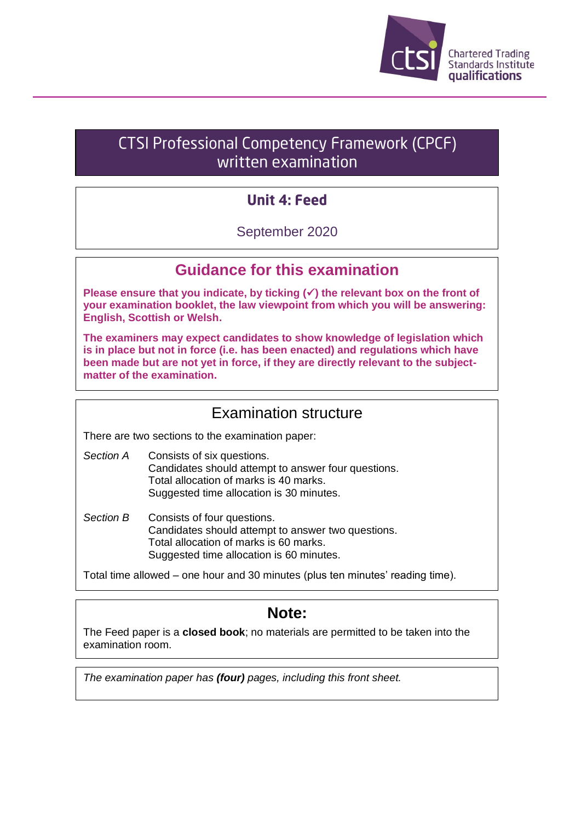

# CTSI Professional Competency Framework (CPCF) written examination

# **Unit 4: Feed**

## September 2020

## **Guidance for this examination**

**Please ensure that you indicate, by ticking (**✓**) the relevant box on the front of your examination booklet, the law viewpoint from which you will be answering: English, Scottish or Welsh.**

**The examiners may expect candidates to show knowledge of legislation which is in place but not in force (i.e. has been enacted) and regulations which have been made but are not yet in force, if they are directly relevant to the subjectmatter of the examination.**

## Examination structure

There are two sections to the examination paper:

- *Section A* Consists of six questions. Candidates should attempt to answer four questions. Total allocation of marks is 40 marks. Suggested time allocation is 30 minutes.
- *Section B* Consists of four questions. Candidates should attempt to answer two questions. Total allocation of marks is 60 marks. Suggested time allocation is 60 minutes.

Total time allowed – one hour and 30 minutes (plus ten minutes' reading time).

## **Note:**

The Feed paper is a **closed book**; no materials are permitted to be taken into the examination room.

*The examination paper has (four) pages, including this front sheet.*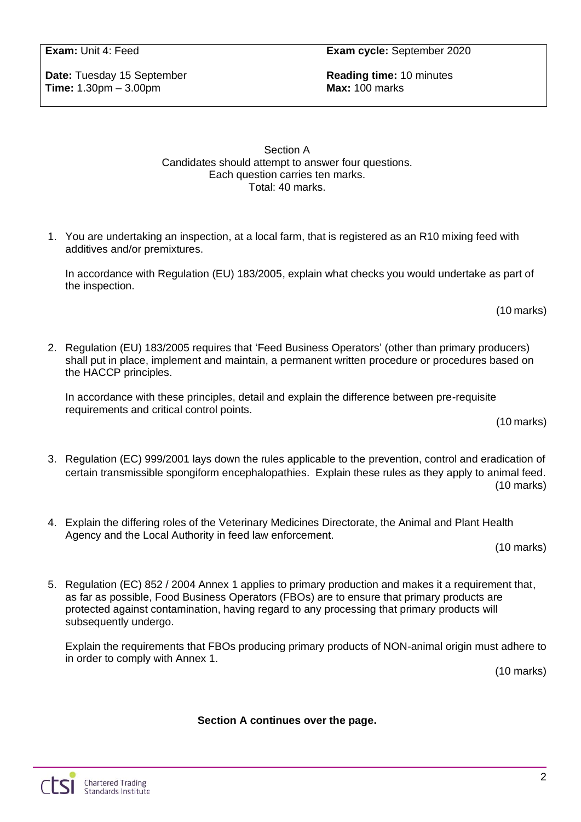**Date:** Tuesday 15 September **Reading time:** 10 minutes **Time:** 1.30pm – 3.00pm

Section A Candidates should attempt to answer four questions. Each question carries ten marks. Total: 40 marks.

1. You are undertaking an inspection, at a local farm, that is registered as an R10 mixing feed with additives and/or premixtures.

In accordance with Regulation (EU) 183/2005, explain what checks you would undertake as part of the inspection.

(10 marks)

2. Regulation (EU) 183/2005 requires that 'Feed Business Operators' (other than primary producers) shall put in place, implement and maintain, a permanent written procedure or procedures based on the HACCP principles.

In accordance with these principles, detail and explain the difference between pre-requisite requirements and critical control points.

(10 marks)

- 3. Regulation (EC) 999/2001 lays down the rules applicable to the prevention, control and eradication of certain transmissible spongiform encephalopathies. Explain these rules as they apply to animal feed. (10 marks)
- 4. Explain the differing roles of the Veterinary Medicines Directorate, the Animal and Plant Health Agency and the Local Authority in feed law enforcement.

(10 marks)

5. Regulation (EC) 852 / 2004 Annex 1 applies to primary production and makes it a requirement that, as far as possible, Food Business Operators (FBOs) are to ensure that primary products are protected against contamination, having regard to any processing that primary products will subsequently undergo.

Explain the requirements that FBOs producing primary products of NON-animal origin must adhere to in order to comply with Annex 1.

(10 marks)

#### **Section A continues over the page.**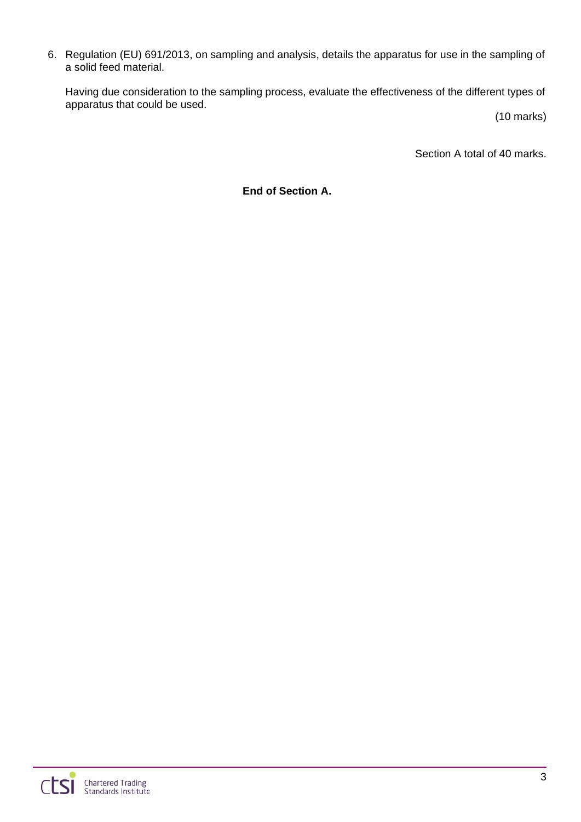6. Regulation (EU) 691/2013, on sampling and analysis, details the apparatus for use in the sampling of a solid feed material.

Having due consideration to the sampling process, evaluate the effectiveness of the different types of apparatus that could be used.

(10 marks)

Section A total of 40 marks.

**End of Section A.**